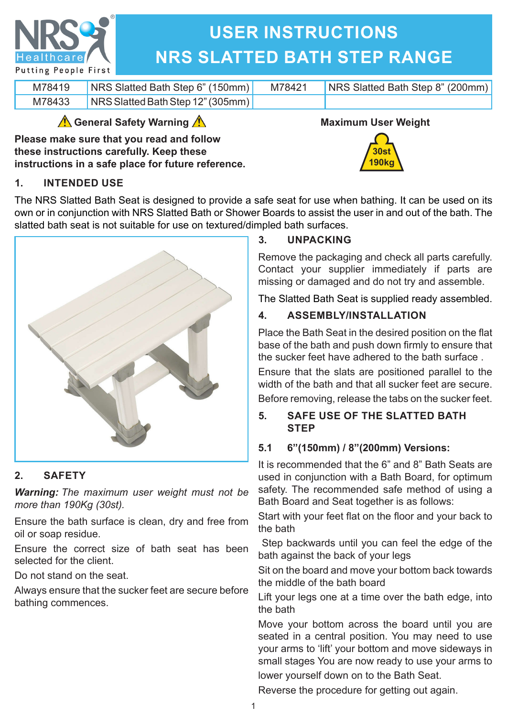

# **USER INSTRUCTIONS NRS SLATTED BATH STEP RANGE**

| M78419 | <b>NRS Slatted Bath Step 6" (150mm)</b> | M78421 | NRS Slatted Bath Step 8" (200mm) |
|--------|-----------------------------------------|--------|----------------------------------|
| M78433 | NRS Slatted Bath Step 12" (305mm)       |        |                                  |

## **General Safety Warning**

**Please make sure that you read and follow these instructions carefully. Keep these instructions in a safe place for future reference.**



**190kg**

## **1. INTENDED USE**

The NRS Slatted Bath Seat is designed to provide a safe seat for use when bathing. It can be used on its own or in conjunction with NRS Slatted Bath or Shower Boards to assist the user in and out of the bath. The slatted bath seat is not suitable for use on textured/dimpled bath surfaces.



## **2. SAFETY**

*Warning: The maximum user weight must not be more than 190Kg (30st).*

Ensure the bath surface is clean, dry and free from oil or soap residue.

Ensure the correct size of bath seat has been selected for the client.

Do not stand on the seat.

Always ensure that the sucker feet are secure before bathing commences.

## **3. UNPACKING**

Remove the packaging and check all parts carefully. Contact your supplier immediately if parts are missing or damaged and do not try and assemble.

The Slatted Bath Seat is supplied ready assembled.

## **4. ASSEMBLY/INSTALLATION**

Place the Bath Seat in the desired position on the flat base of the bath and push down firmly to ensure that the sucker feet have adhered to the bath surface .

Ensure that the slats are positioned parallel to the width of the bath and that all sucker feet are secure. Before removing, release the tabs on the sucker feet.

## **5. SAFE USE OF THE SLATTED BATH STEP**

## **5.1 6"(150mm) / 8"(200mm) Versions:**

It is recommended that the 6" and 8" Bath Seats are used in conjunction with a Bath Board, for optimum safety. The recommended safe method of using a Bath Board and Seat together is as follows:

Start with your feet flat on the floor and your back to the bath

 Step backwards until you can feel the edge of the bath against the back of your legs

Sit on the board and move your bottom back towards the middle of the bath board

Lift your legs one at a time over the bath edge, into the bath

Move your bottom across the board until you are seated in a central position. You may need to use your arms to 'lift' your bottom and move sideways in small stages You are now ready to use your arms to lower yourself down on to the Bath Seat.

Reverse the procedure for getting out again.